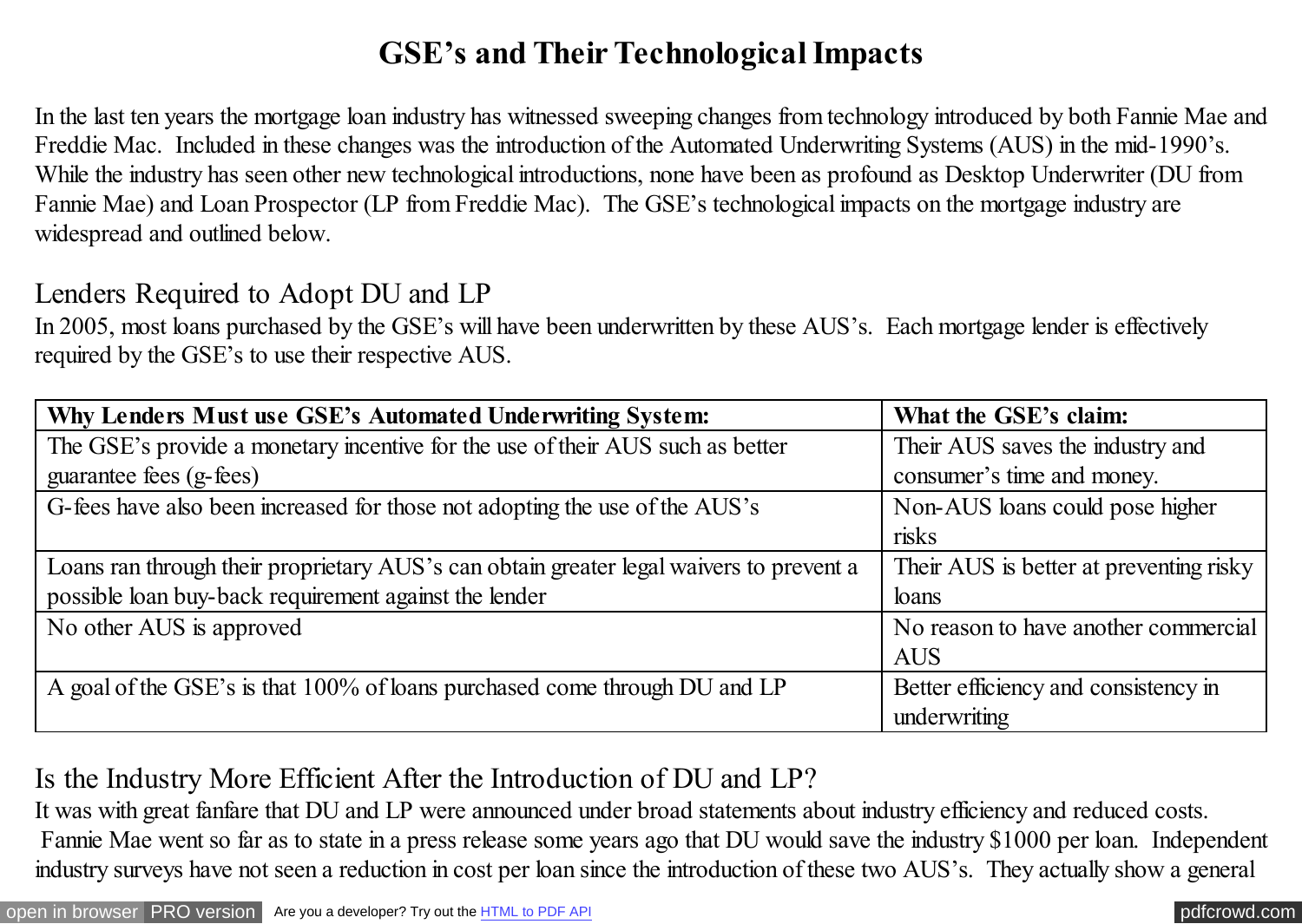# **GSE's and Their Technological Impacts**

In the last ten years the mortgage loan industry has witnessed sweeping changes from technology introduced by both Fannie Mae and Freddie Mac. Included in these changes was the introduction of the Automated Underwriting Systems (AUS) in the mid-1990's. While the industry has seen other new technological introductions, none have been as profound as Desktop Underwriter (DU from Fannie Mae) and Loan Prospector (LP from Freddie Mac). The GSE's technological impacts on the mortgage industry are widespread and outlined below.

#### Lenders Required to Adopt DU and LP

In 2005, most loans purchased by the GSE's will have been underwritten by these AUS's. Each mortgage lender is effectively required by the GSE's to use their respective AUS.

| Why Lenders Must use GSE's Automated Underwriting System:                               | What the GSE's claim:                   |
|-----------------------------------------------------------------------------------------|-----------------------------------------|
| The GSE's provide a monetary incentive for the use of their AUS such as better          | Their AUS saves the industry and        |
| guarantee fees (g-fees)                                                                 | consumer's time and money.              |
| G-fees have also been increased for those not adopting the use of the AUS's             | Non-AUS loans could pose higher         |
|                                                                                         | risks                                   |
| Loans ran through their proprietary AUS's can obtain greater legal waivers to prevent a | Their AUS is better at preventing risky |
| possible loan buy-back requirement against the lender                                   | loans                                   |
| No other AUS is approved                                                                | No reason to have another commercial    |
|                                                                                         | <b>AUS</b>                              |
| A goal of the GSE's is that 100% of loans purchased come through DU and LP              | Better efficiency and consistency in    |
|                                                                                         | underwriting                            |

# Is the Industry More Efficient After the Introduction of DU and LP?

It was with great fanfare that DU and LP were announced under broad statements about industry efficiency and reduced costs. Fannie Mae went so far as to state in a press release some years ago that DU would save the industry \$1000 per loan. Independent industry surveys have not seen a reduction in cost per loan since the introduction of these two AUS's. They actually show a general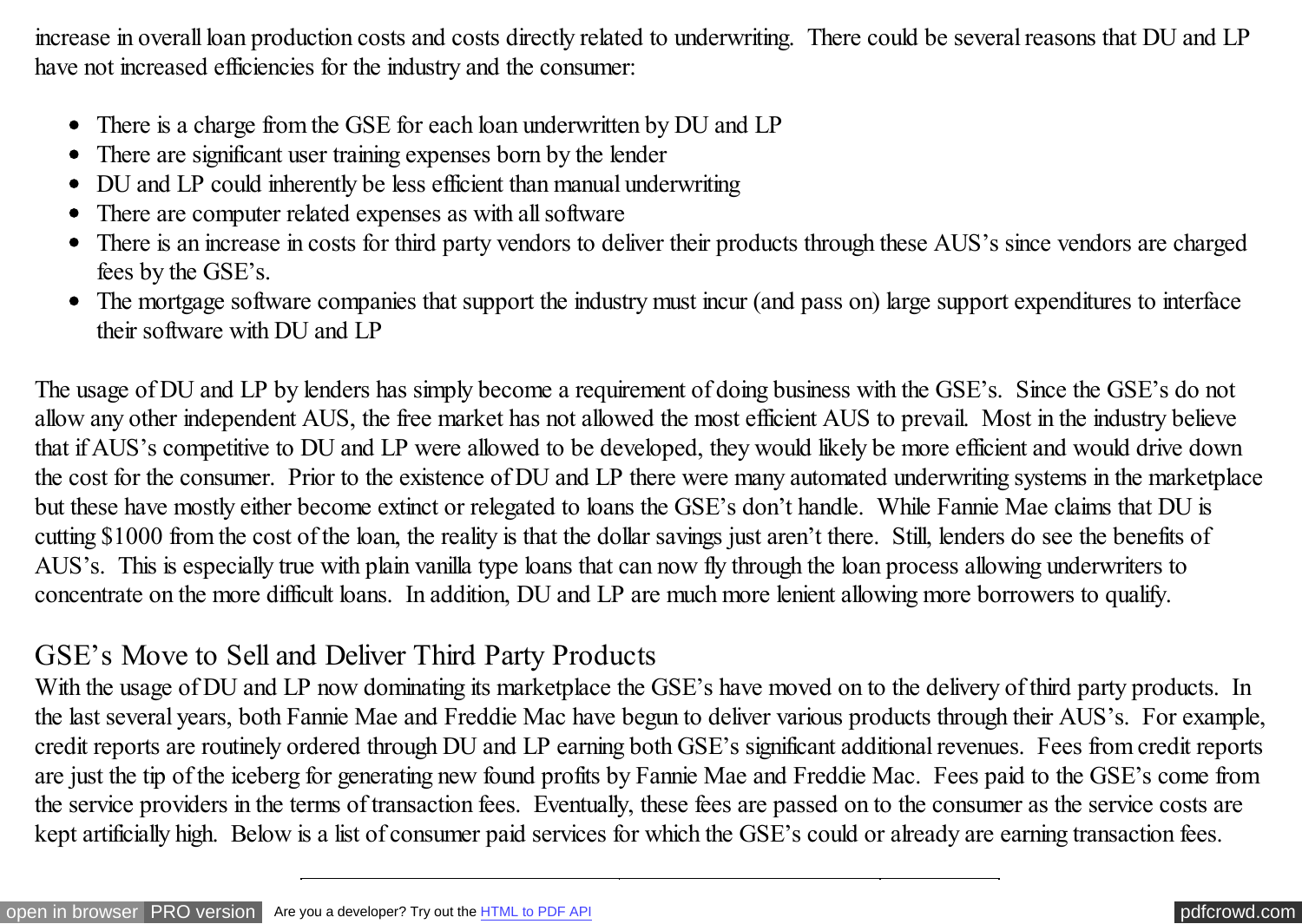increase in overall loan production costs and costs directly related to underwriting. There could be several reasons that DU and LP have not increased efficiencies for the industry and the consumer:

- There is a charge from the GSE for each loan underwritten by DU and LP
- There are significant user training expenses born by the lender
- DU and LP could inherently be less efficient than manual underwriting
- There are computer related expenses as with all software  $\bullet$
- There is an increase in costs for third party vendors to deliver their products through these AUS's since vendors are charged  $\bullet$ fees by the GSE's.
- The mortgage software companies that support the industry must incur (and pass on) large support expenditures to interface their software with DU and LP

The usage of DU and LP by lenders has simply become a requirement of doing business with the GSE's. Since the GSE's do not allow any other independent AUS, the free market has not allowed the most efficient AUS to prevail. Most in the industry believe that if AUS's competitive to DU and LP were allowed to be developed, they would likely be more efficient and would drive down the cost for the consumer. Prior to the existence of DU and LP there were many automated underwriting systems in the marketplace but these have mostly either become extinct or relegated to loans the GSE's don't handle. While Fannie Mae claims that DU is cutting \$1000 from the cost of the loan, the reality is that the dollar savings just aren't there. Still, lenders do see the benefits of AUS's. This is especially true with plain vanilla type loans that can now fly through the loan process allowing underwriters to concentrate on the more difficult loans. In addition, DU and LP are much more lenient allowing more borrowers to qualify.

### GSE's Move to Sell and Deliver Third Party Products

With the usage of DU and LP now dominating its marketplace the GSE's have moved on to the delivery of third party products. In the last several years, both Fannie Mae and Freddie Mac have begun to deliver various products through their AUS's. For example, credit reports are routinely ordered through DU and LP earning both GSE's significant additional revenues. Fees from credit reports are just the tip of the iceberg for generating new found profits by Fannie Mae and Freddie Mac. Fees paid to the GSE's come from the service providers in the terms of transaction fees. Eventually, these fees are passed on to the consumer as the service costs are kept artificially high. Below is a list of consumer paid services for which the GSE's could or already are earning transaction fees.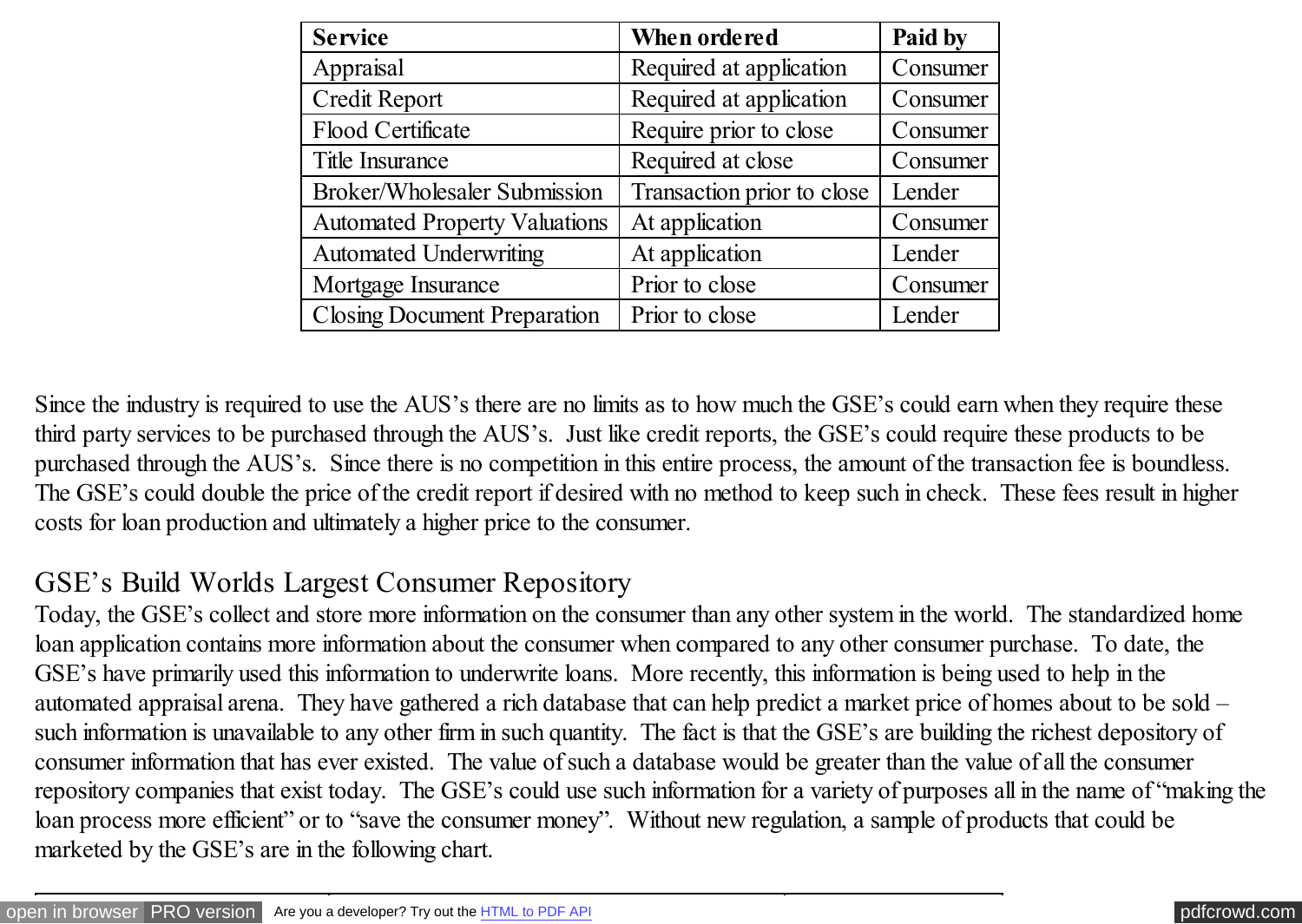| <b>Service</b>                       | When ordered               | Paid by  |
|--------------------------------------|----------------------------|----------|
| Appraisal                            | Required at application    | Consumer |
| Credit Report                        | Required at application    | Consumer |
| <b>Flood Certificate</b>             | Require prior to close     | Consumer |
| <b>Title Insurance</b>               | Required at close          | Consumer |
| <b>Broker/Wholesaler Submission</b>  | Transaction prior to close | Lender   |
| <b>Automated Property Valuations</b> | At application             | Consumer |
| <b>Automated Underwriting</b>        | At application             | Lender   |
| Mortgage Insurance                   | Prior to close             | Consumer |
| <b>Closing Document Preparation</b>  | Prior to close             | Lender   |

Since the industry is required to use the AUS's there are no limits as to how much the GSE's could earn when they require these third party services to be purchased through the AUS's. Just like credit reports, the GSE's could require these products to be purchased through the AUS's. Since there is no competition in this entire process, the amount of the transaction fee is boundless. The GSE's could double the price of the credit report if desired with no method to keep such in check. These fees result in higher costs for loan production and ultimately a higher price to the consumer.

## GSE's Build Worlds Largest Consumer Repository

Today, the GSE's collect and store more information on the consumer than any other system in the world. The standardized home loan application contains more information about the consumer when compared to any other consumer purchase. To date, the GSE's have primarily used this information to underwrite loans. More recently, this information is being used to help in the automated appraisal arena. They have gathered a rich database that can help predict a market price of homes about to be sold – such information is unavailable to any other firm in such quantity. The fact is that the GSE's are building the richest depository of consumer information that has ever existed. The value of such a database would be greater than the value of all the consumer repository companies that exist today. The GSE's could use such information for a variety of purposes all in the name of "making the loan process more efficient" or to "save the consumer money". Without new regulation, a sample of products that could be marketed by the GSE's are in the following chart.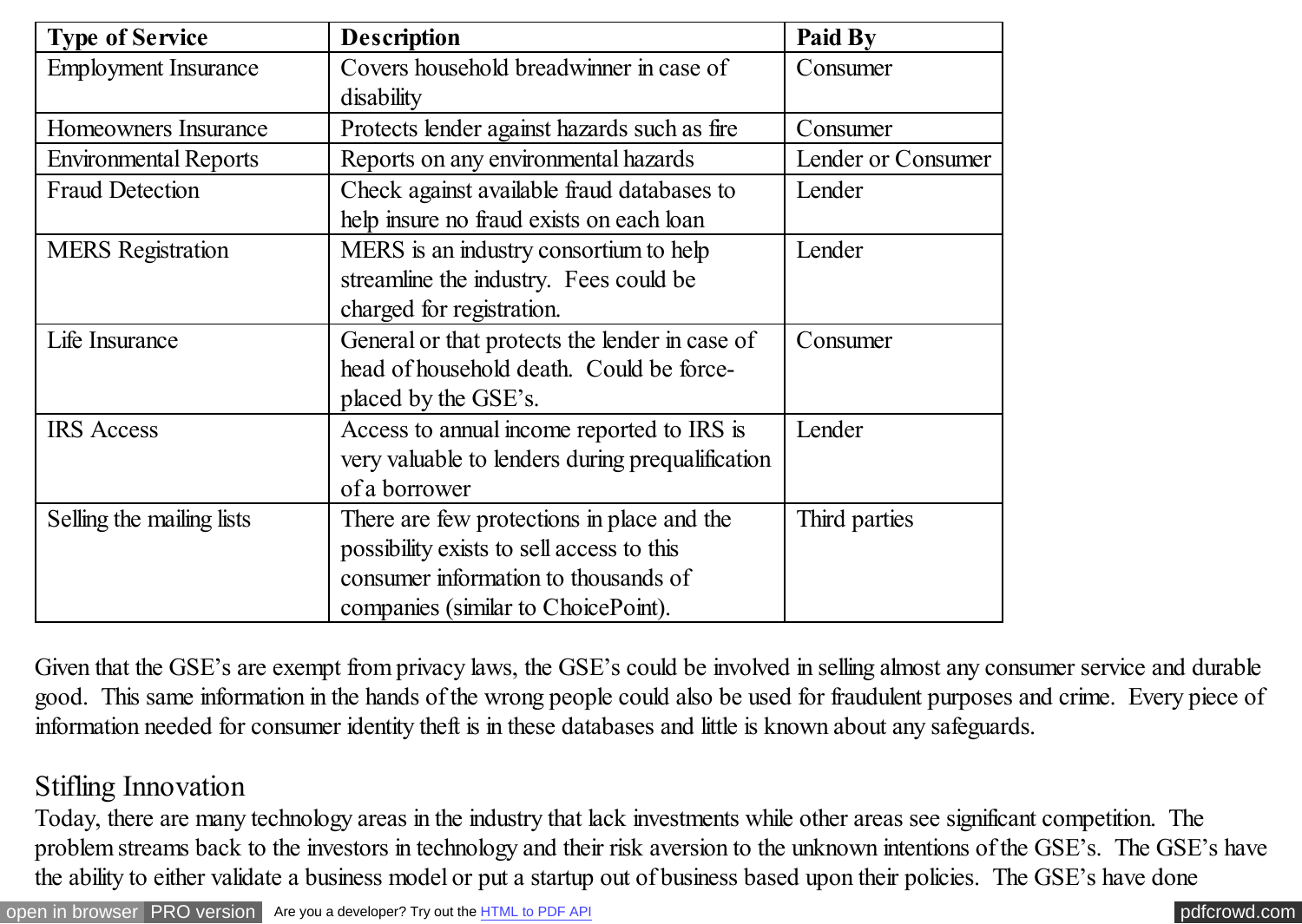| <b>Type of Service</b>       | <b>Description</b>                                                                                                                                                     | Paid By            |
|------------------------------|------------------------------------------------------------------------------------------------------------------------------------------------------------------------|--------------------|
| <b>Employment Insurance</b>  | Covers household breadwinner in case of<br>disability                                                                                                                  | Consumer           |
| Homeowners Insurance         | Protects lender against hazards such as fire                                                                                                                           | Consumer           |
| <b>Environmental Reports</b> | Reports on any environmental hazards                                                                                                                                   | Lender or Consumer |
| <b>Fraud Detection</b>       | Check against available fraud databases to<br>help insure no fraud exists on each loan                                                                                 | Lender             |
| <b>MERS</b> Registration     | MERS is an industry consortium to help<br>streamline the industry. Fees could be<br>charged for registration.                                                          | Lender             |
| Life Insurance               | General or that protects the lender in case of<br>head of household death. Could be force-<br>placed by the GSE's.                                                     | Consumer           |
| <b>IRS</b> Access            | Access to annual income reported to IRS is<br>very valuable to lenders during prequalification<br>of a borrower                                                        | Lender             |
| Selling the mailing lists    | There are few protections in place and the<br>possibility exists to sell access to this<br>consumer information to thousands of<br>companies (similar to ChoicePoint). | Third parties      |

Given that the GSE's are exempt from privacy laws, the GSE's could be involved in selling almost any consumer service and durable good. This same information in the hands of the wrong people could also be used for fraudulent purposes and crime. Every piece of information needed for consumer identity theft is in these databases and little is known about any safeguards.

### Stifling Innovation

Today, there are many technology areas in the industry that lack investments while other areas see significant competition. The problem streams back to the investors in technology and their risk aversion to the unknown intentions of the GSE's. The GSE's have the ability to either validate a business model or put a startup out of business based upon their policies. The GSE's have done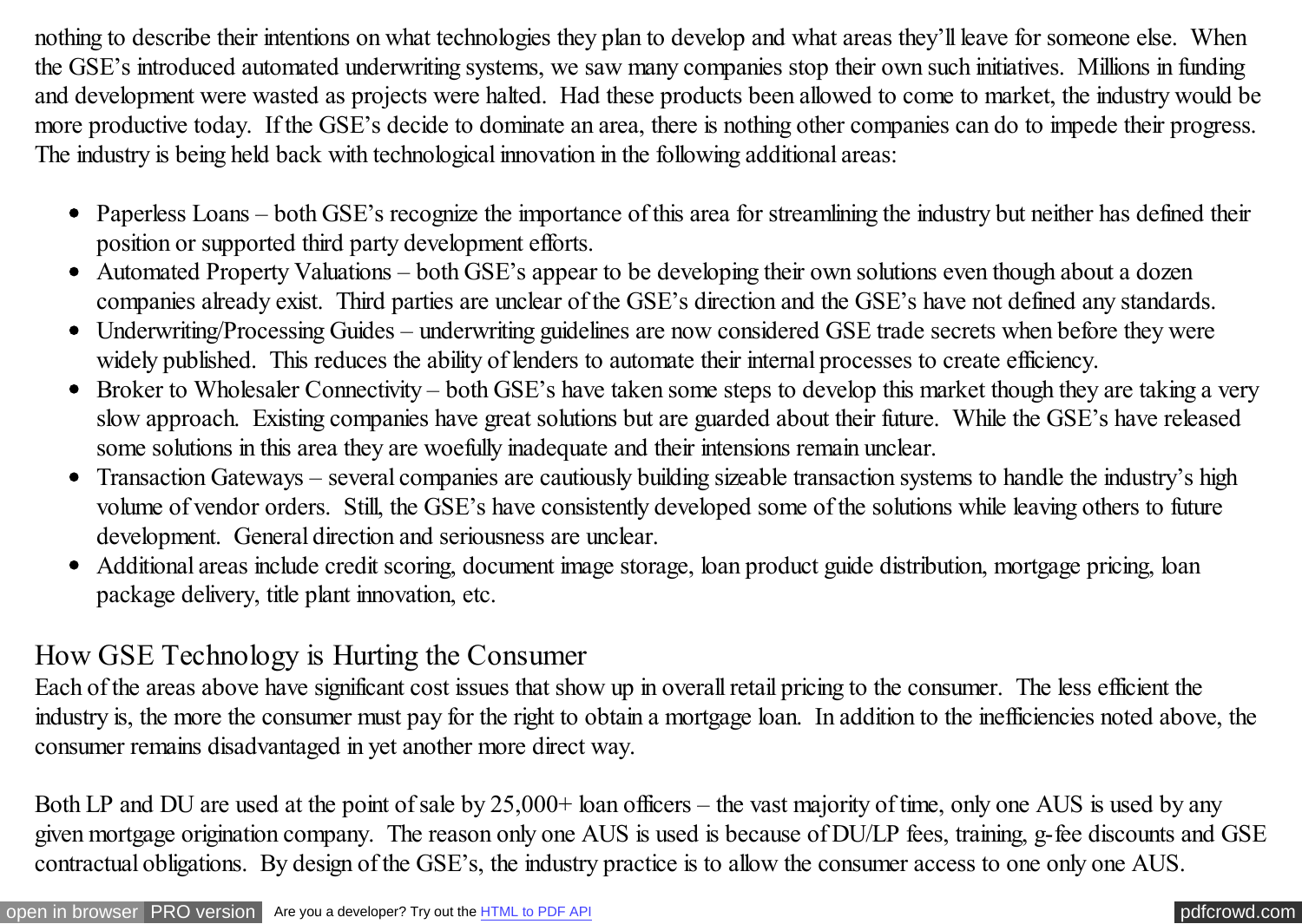nothing to describe their intentions on what technologies they plan to develop and what areas they'll leave for someone else. When the GSE's introduced automated underwriting systems, we saw many companies stop their own such initiatives. Millions in funding and development were wasted as projects were halted. Had these products been allowed to come to market, the industry would be more productive today. If the GSE's decide to dominate an area, there is nothing other companies can do to impede their progress. The industry is being held back with technological innovation in the following additional areas:

- Paperless Loans both GSE's recognize the importance of this area for streamlining the industry but neither has defined their position or supported third party development efforts.
- Automated Property Valuations both GSE's appear to be developing their own solutions even though about a dozen companies already exist. Third parties are unclear of the GSE's direction and the GSE's have not defined any standards.
- Underwriting/Processing Guides underwriting guidelines are now considered GSE trade secrets when before they were widely published. This reduces the ability of lenders to automate their internal processes to create efficiency.
- Broker to Wholesaler Connectivity both GSE's have taken some steps to develop this market though they are taking a very slow approach. Existing companies have great solutions but are guarded about their future. While the GSE's have released some solutions in this area they are woefully inadequate and their intensions remain unclear.
- Transaction Gateways several companies are cautiously building sizeable transaction systems to handle the industry's high  $\bullet$ volume of vendor orders. Still, the GSE's have consistently developed some of the solutions while leaving others to future development. General direction and seriousness are unclear.
- Additional areas include credit scoring, document image storage, loan product guide distribution, mortgage pricing, loan package delivery, title plant innovation, etc.

### How GSE Technology is Hurting the Consumer

Each of the areas above have significant cost issues that show up in overall retail pricing to the consumer. The less efficient the industry is, the more the consumer must pay for the right to obtain a mortgage loan. In addition to the inefficiencies noted above, the consumer remains disadvantaged in yet another more direct way.

Both LP and DU are used at the point of sale by 25,000+ loan officers – the vast majority of time, only one AUS is used by any given mortgage origination company. The reason only one AUS is used is because of DU/LP fees, training, g-fee discounts and GSE contractual obligations. By design of the GSE's, the industry practice is to allow the consumer access to one only one AUS.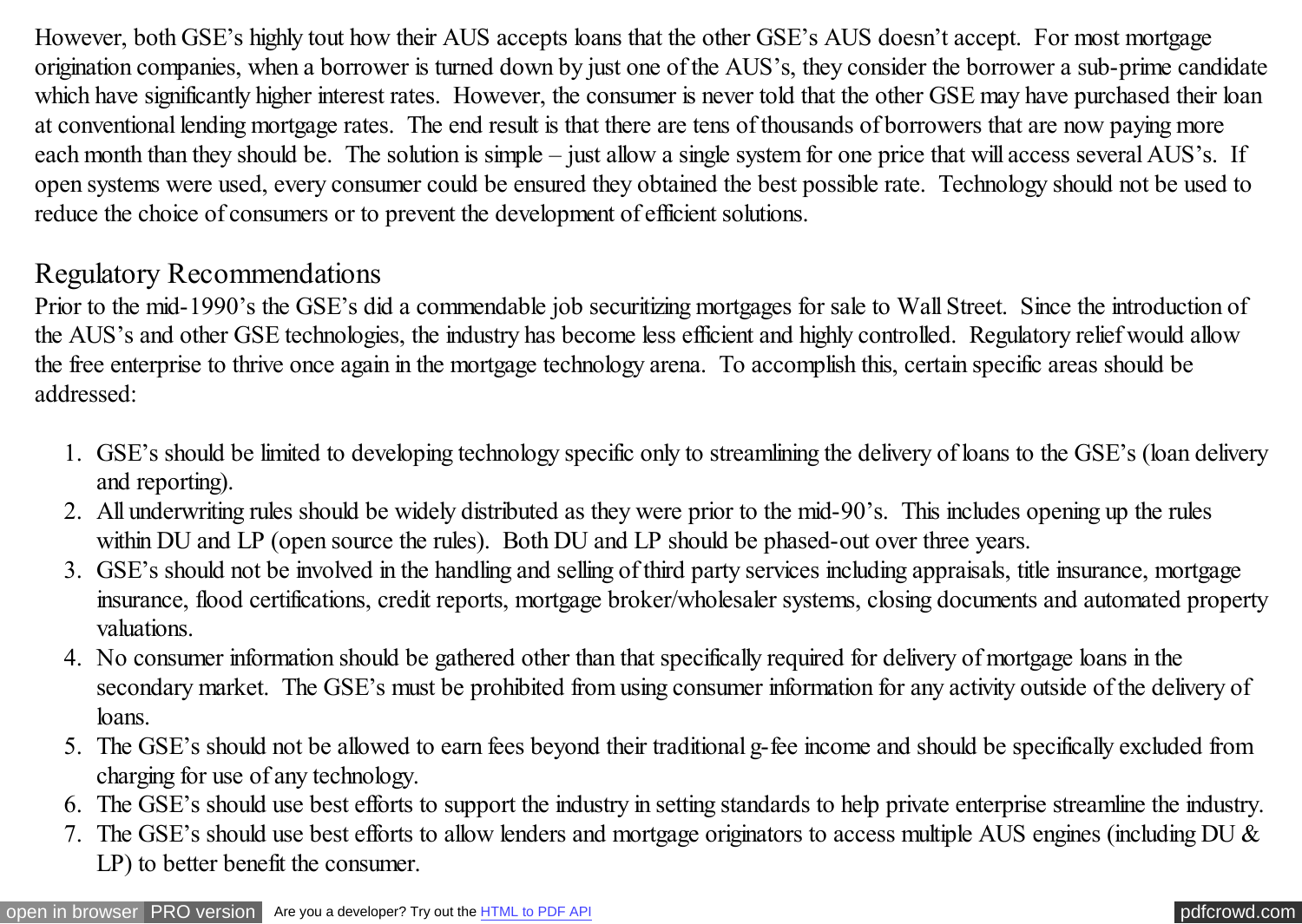However, both GSE's highly tout how their AUS accepts loans that the other GSE's AUS doesn't accept. For most mortgage origination companies, when a borrower is turned down by just one of the AUS's, they consider the borrower a sub-prime candidate which have significantly higher interest rates. However, the consumer is never told that the other GSE may have purchased their loan at conventional lending mortgage rates. The end result is that there are tens of thousands of borrowers that are now paying more each month than they should be. The solution is simple – just allow a single system for one price that will access several AUS's. If open systems were used, every consumer could be ensured they obtained the best possible rate. Technology should not be used to reduce the choice of consumers or to prevent the development of efficient solutions.

### Regulatory Recommendations

Prior to the mid-1990's the GSE's did a commendable job securitizing mortgages for sale to Wall Street. Since the introduction of the AUS's and other GSE technologies, the industry has become less efficient and highly controlled. Regulatory relief would allow the free enterprise to thrive once again in the mortgage technology arena. To accomplish this, certain specific areas should be addressed:

- 1. GSE's should be limited to developing technology specific only to streamlining the delivery of loans to the GSE's (loan delivery and reporting).
- 2. All underwriting rules should be widely distributed as they were prior to the mid-90's. This includes opening up the rules within DU and LP (open source the rules). Both DU and LP should be phased-out over three years.
- 3. GSE's should not be involved in the handling and selling of third party services including appraisals, title insurance, mortgage insurance, flood certifications, credit reports, mortgage broker/wholesaler systems, closing documents and automated property valuations.
- 4. No consumer information should be gathered other than that specifically required for delivery of mortgage loans in the secondary market. The GSE's must be prohibited from using consumer information for any activity outside of the delivery of loans.
- 5. The GSE's should not be allowed to earn fees beyond their traditional g-fee income and should be specifically excluded from charging for use of any technology.
- 6. The GSE's should use best efforts to support the industry in setting standards to help private enterprise streamline the industry.
- 7. The GSE's should use best efforts to allow lenders and mortgage originators to access multiple AUS engines (including DU & LP) to better benefit the consumer.